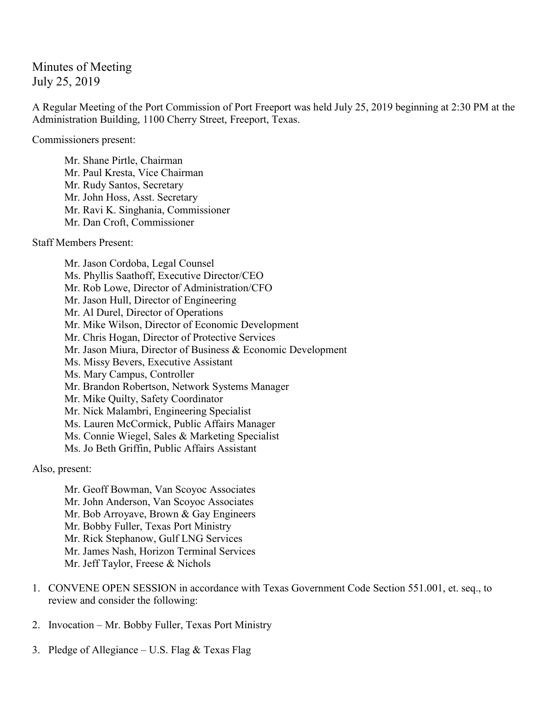## Minutes of Meeting July 25, 2019

A Regular Meeting of the Port Commission of Port Freeport was held July 25, 2019 beginning at 2:30 PM at the Administration Building, 1100 Cherry Street, Freeport, Texas.

Commissioners present:

Mr. Shane Pirtle, Chairman Mr. Paul Kresta, Vice Chairman Mr. Rudy Santos, Secretary Mr. John Hoss, Asst. Secretary Mr. Ravi K. Singhania, Commissioner Mr. Dan Croft, Commissioner

Staff Members Present:

Mr. Jason Cordoba, Legal Counsel Ms. Phyllis Saathoff, Executive Director/CEO Mr. Rob Lowe, Director of Administration/CFO Mr. Jason Hull, Director of Engineering Mr. Al Durel, Director of Operations Mr. Mike Wilson, Director of Economic Development Mr. Chris Hogan, Director of Protective Services Mr. Jason Miura, Director of Business & Economic Development Ms. Missy Bevers, Executive Assistant Ms. Mary Campus, Controller Mr. Brandon Robertson, Network Systems Manager Mr. Mike Quilty, Safety Coordinator Mr. Nick Malambri, Engineering Specialist Ms. Lauren McCormick, Public Affairs Manager Ms. Connie Wiegel, Sales & Marketing Specialist Ms. Jo Beth Griffin, Public Affairs Assistant

Also, present:

Mr. Geoff Bowman, Van Scoyoc Associates Mr. John Anderson, Van Scoyoc Associates Mr. Bob Arroyave, Brown & Gay Engineers Mr. Bobby Fuller, Texas Port Ministry Mr. Rick Stephanow, Gulf LNG Services Mr. James Nash, Horizon Terminal Services Mr. Jeff Taylor, Freese & Nichols

- 1. CONVENE OPEN SESSION in accordance with Texas Government Code Section 551.001, et. seq., to review and consider the following:
- 2. Invocation Mr. Bobby Fuller, Texas Port Ministry
- 3. Pledge of Allegiance U.S. Flag & Texas Flag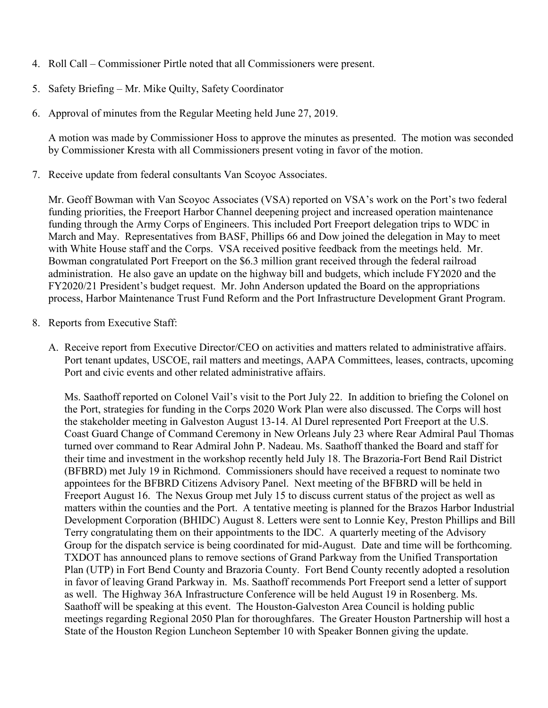- 4. Roll Call Commissioner Pirtle noted that all Commissioners were present.
- 5. Safety Briefing Mr. Mike Quilty, Safety Coordinator
- 6. Approval of minutes from the Regular Meeting held June 27, 2019.

A motion was made by Commissioner Hoss to approve the minutes as presented. The motion was seconded by Commissioner Kresta with all Commissioners present voting in favor of the motion.

7. Receive update from federal consultants Van Scoyoc Associates.

Mr. Geoff Bowman with Van Scoyoc Associates (VSA) reported on VSA's work on the Port's two federal funding priorities, the Freeport Harbor Channel deepening project and increased operation maintenance funding through the Army Corps of Engineers. This included Port Freeport delegation trips to WDC in March and May. Representatives from BASF, Phillips 66 and Dow joined the delegation in May to meet with White House staff and the Corps. VSA received positive feedback from the meetings held. Mr. Bowman congratulated Port Freeport on the \$6.3 million grant received through the federal railroad administration. He also gave an update on the highway bill and budgets, which include FY2020 and the FY2020/21 President's budget request. Mr. John Anderson updated the Board on the appropriations process, Harbor Maintenance Trust Fund Reform and the Port Infrastructure Development Grant Program.

- 8. Reports from Executive Staff:
	- A. Receive report from Executive Director/CEO on activities and matters related to administrative affairs. Port tenant updates, USCOE, rail matters and meetings, AAPA Committees, leases, contracts, upcoming Port and civic events and other related administrative affairs.

Ms. Saathoff reported on Colonel Vail's visit to the Port July 22. In addition to briefing the Colonel on the Port, strategies for funding in the Corps 2020 Work Plan were also discussed. The Corps will host the stakeholder meeting in Galveston August 13-14. Al Durel represented Port Freeport at the U.S. Coast Guard Change of Command Ceremony in New Orleans July 23 where Rear Admiral Paul Thomas turned over command to Rear Admiral John P. Nadeau. Ms. Saathoff thanked the Board and staff for their time and investment in the workshop recently held July 18. The Brazoria-Fort Bend Rail District (BFBRD) met July 19 in Richmond. Commissioners should have received a request to nominate two appointees for the BFBRD Citizens Advisory Panel. Next meeting of the BFBRD will be held in Freeport August 16. The Nexus Group met July 15 to discuss current status of the project as well as matters within the counties and the Port. A tentative meeting is planned for the Brazos Harbor Industrial Development Corporation (BHIDC) August 8. Letters were sent to Lonnie Key, Preston Phillips and Bill Terry congratulating them on their appointments to the IDC. A quarterly meeting of the Advisory Group for the dispatch service is being coordinated for mid-August. Date and time will be forthcoming. TXDOT has announced plans to remove sections of Grand Parkway from the Unified Transportation Plan (UTP) in Fort Bend County and Brazoria County. Fort Bend County recently adopted a resolution in favor of leaving Grand Parkway in. Ms. Saathoff recommends Port Freeport send a letter of support as well. The Highway 36A Infrastructure Conference will be held August 19 in Rosenberg. Ms. Saathoff will be speaking at this event. The Houston-Galveston Area Council is holding public meetings regarding Regional 2050 Plan for thoroughfares. The Greater Houston Partnership will host a State of the Houston Region Luncheon September 10 with Speaker Bonnen giving the update.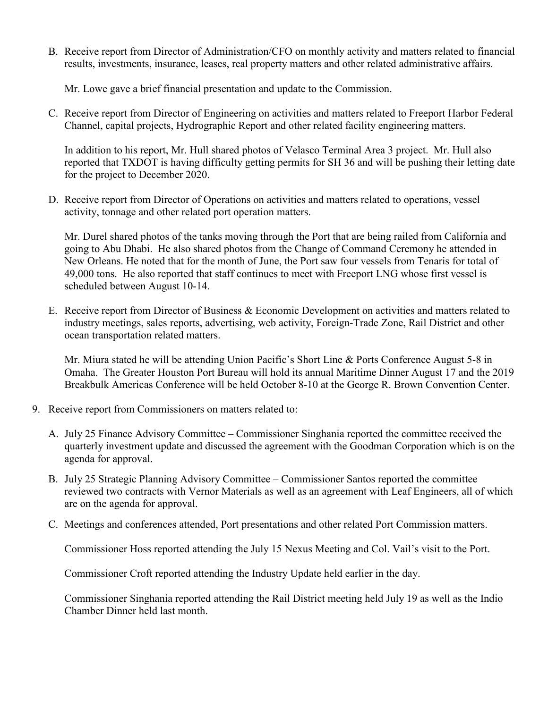B. Receive report from Director of Administration/CFO on monthly activity and matters related to financial results, investments, insurance, leases, real property matters and other related administrative affairs.

Mr. Lowe gave a brief financial presentation and update to the Commission.

C. Receive report from Director of Engineering on activities and matters related to Freeport Harbor Federal Channel, capital projects, Hydrographic Report and other related facility engineering matters.

In addition to his report, Mr. Hull shared photos of Velasco Terminal Area 3 project. Mr. Hull also reported that TXDOT is having difficulty getting permits for SH 36 and will be pushing their letting date for the project to December 2020.

D. Receive report from Director of Operations on activities and matters related to operations, vessel activity, tonnage and other related port operation matters.

Mr. Durel shared photos of the tanks moving through the Port that are being railed from California and going to Abu Dhabi. He also shared photos from the Change of Command Ceremony he attended in New Orleans. He noted that for the month of June, the Port saw four vessels from Tenaris for total of 49,000 tons. He also reported that staff continues to meet with Freeport LNG whose first vessel is scheduled between August 10-14.

E. Receive report from Director of Business & Economic Development on activities and matters related to industry meetings, sales reports, advertising, web activity, Foreign-Trade Zone, Rail District and other ocean transportation related matters.

Mr. Miura stated he will be attending Union Pacific's Short Line & Ports Conference August 5-8 in Omaha. The Greater Houston Port Bureau will hold its annual Maritime Dinner August 17 and the 2019 Breakbulk Americas Conference will be held October 8-10 at the George R. Brown Convention Center.

- 9. Receive report from Commissioners on matters related to:
	- A. July 25 Finance Advisory Committee Commissioner Singhania reported the committee received the quarterly investment update and discussed the agreement with the Goodman Corporation which is on the agenda for approval.
	- B. July 25 Strategic Planning Advisory Committee Commissioner Santos reported the committee reviewed two contracts with Vernor Materials as well as an agreement with Leaf Engineers, all of which are on the agenda for approval.
	- C. Meetings and conferences attended, Port presentations and other related Port Commission matters.

Commissioner Hoss reported attending the July 15 Nexus Meeting and Col. Vail's visit to the Port.

Commissioner Croft reported attending the Industry Update held earlier in the day.

Commissioner Singhania reported attending the Rail District meeting held July 19 as well as the Indio Chamber Dinner held last month.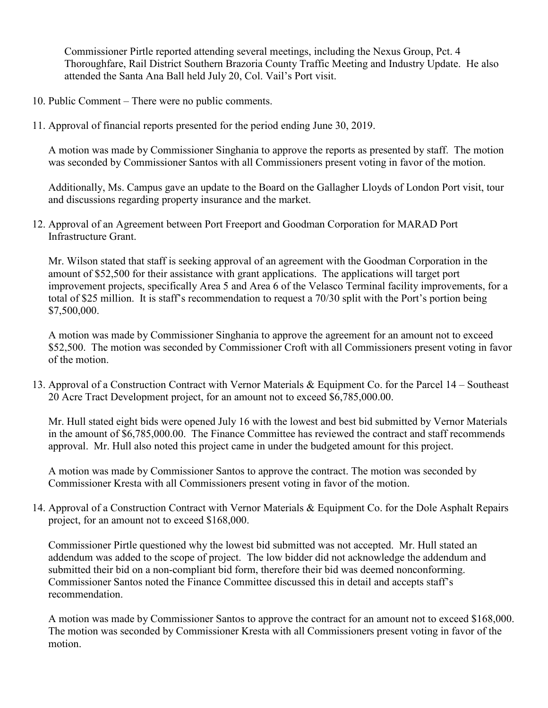Commissioner Pirtle reported attending several meetings, including the Nexus Group, Pct. 4 Thoroughfare, Rail District Southern Brazoria County Traffic Meeting and Industry Update. He also attended the Santa Ana Ball held July 20, Col. Vail's Port visit.

- 10. Public Comment There were no public comments.
- 11. Approval of financial reports presented for the period ending June 30, 2019.

A motion was made by Commissioner Singhania to approve the reports as presented by staff. The motion was seconded by Commissioner Santos with all Commissioners present voting in favor of the motion.

Additionally, Ms. Campus gave an update to the Board on the Gallagher Lloyds of London Port visit, tour and discussions regarding property insurance and the market.

12. Approval of an Agreement between Port Freeport and Goodman Corporation for MARAD Port Infrastructure Grant.

Mr. Wilson stated that staff is seeking approval of an agreement with the Goodman Corporation in the amount of \$52,500 for their assistance with grant applications. The applications will target port improvement projects, specifically Area 5 and Area 6 of the Velasco Terminal facility improvements, for a total of \$25 million. It is staff's recommendation to request a 70/30 split with the Port's portion being \$7,500,000.

A motion was made by Commissioner Singhania to approve the agreement for an amount not to exceed \$52,500. The motion was seconded by Commissioner Croft with all Commissioners present voting in favor of the motion.

13. Approval of a Construction Contract with Vernor Materials & Equipment Co. for the Parcel 14 – Southeast 20 Acre Tract Development project, for an amount not to exceed \$6,785,000.00.

Mr. Hull stated eight bids were opened July 16 with the lowest and best bid submitted by Vernor Materials in the amount of \$6,785,000.00. The Finance Committee has reviewed the contract and staff recommends approval. Mr. Hull also noted this project came in under the budgeted amount for this project.

A motion was made by Commissioner Santos to approve the contract. The motion was seconded by Commissioner Kresta with all Commissioners present voting in favor of the motion.

14. Approval of a Construction Contract with Vernor Materials & Equipment Co. for the Dole Asphalt Repairs project, for an amount not to exceed \$168,000.

Commissioner Pirtle questioned why the lowest bid submitted was not accepted. Mr. Hull stated an addendum was added to the scope of project. The low bidder did not acknowledge the addendum and submitted their bid on a non-compliant bid form, therefore their bid was deemed nonconforming. Commissioner Santos noted the Finance Committee discussed this in detail and accepts staff's recommendation.

A motion was made by Commissioner Santos to approve the contract for an amount not to exceed \$168,000. The motion was seconded by Commissioner Kresta with all Commissioners present voting in favor of the motion.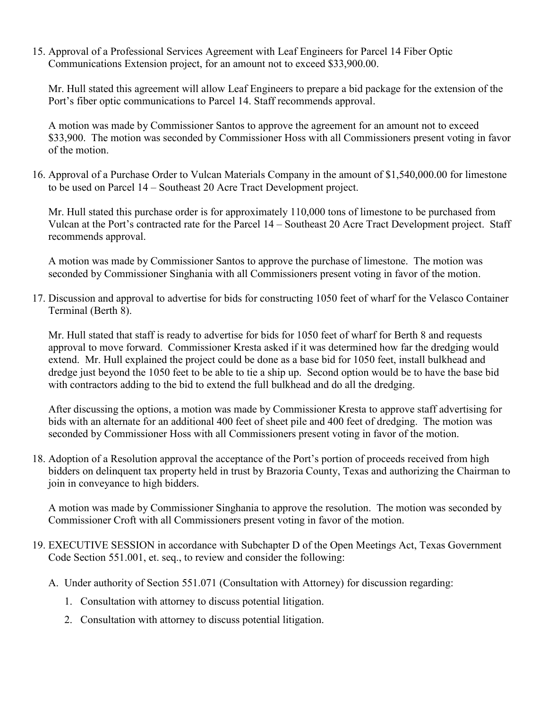15. Approval of a Professional Services Agreement with Leaf Engineers for Parcel 14 Fiber Optic Communications Extension project, for an amount not to exceed \$33,900.00.

Mr. Hull stated this agreement will allow Leaf Engineers to prepare a bid package for the extension of the Port's fiber optic communications to Parcel 14. Staff recommends approval.

A motion was made by Commissioner Santos to approve the agreement for an amount not to exceed \$33,900. The motion was seconded by Commissioner Hoss with all Commissioners present voting in favor of the motion.

16. Approval of a Purchase Order to Vulcan Materials Company in the amount of \$1,540,000.00 for limestone to be used on Parcel 14 – Southeast 20 Acre Tract Development project.

Mr. Hull stated this purchase order is for approximately 110,000 tons of limestone to be purchased from Vulcan at the Port's contracted rate for the Parcel 14 – Southeast 20 Acre Tract Development project. Staff recommends approval.

A motion was made by Commissioner Santos to approve the purchase of limestone. The motion was seconded by Commissioner Singhania with all Commissioners present voting in favor of the motion.

17. Discussion and approval to advertise for bids for constructing 1050 feet of wharf for the Velasco Container Terminal (Berth 8).

Mr. Hull stated that staff is ready to advertise for bids for 1050 feet of wharf for Berth 8 and requests approval to move forward. Commissioner Kresta asked if it was determined how far the dredging would extend. Mr. Hull explained the project could be done as a base bid for 1050 feet, install bulkhead and dredge just beyond the 1050 feet to be able to tie a ship up. Second option would be to have the base bid with contractors adding to the bid to extend the full bulkhead and do all the dredging.

After discussing the options, a motion was made by Commissioner Kresta to approve staff advertising for bids with an alternate for an additional 400 feet of sheet pile and 400 feet of dredging. The motion was seconded by Commissioner Hoss with all Commissioners present voting in favor of the motion.

18. Adoption of a Resolution approval the acceptance of the Port's portion of proceeds received from high bidders on delinquent tax property held in trust by Brazoria County, Texas and authorizing the Chairman to join in conveyance to high bidders.

A motion was made by Commissioner Singhania to approve the resolution. The motion was seconded by Commissioner Croft with all Commissioners present voting in favor of the motion.

- 19. EXECUTIVE SESSION in accordance with Subchapter D of the Open Meetings Act, Texas Government Code Section 551.001, et. seq., to review and consider the following:
	- A. Under authority of Section 551.071 (Consultation with Attorney) for discussion regarding:
		- 1. Consultation with attorney to discuss potential litigation.
		- 2. Consultation with attorney to discuss potential litigation.